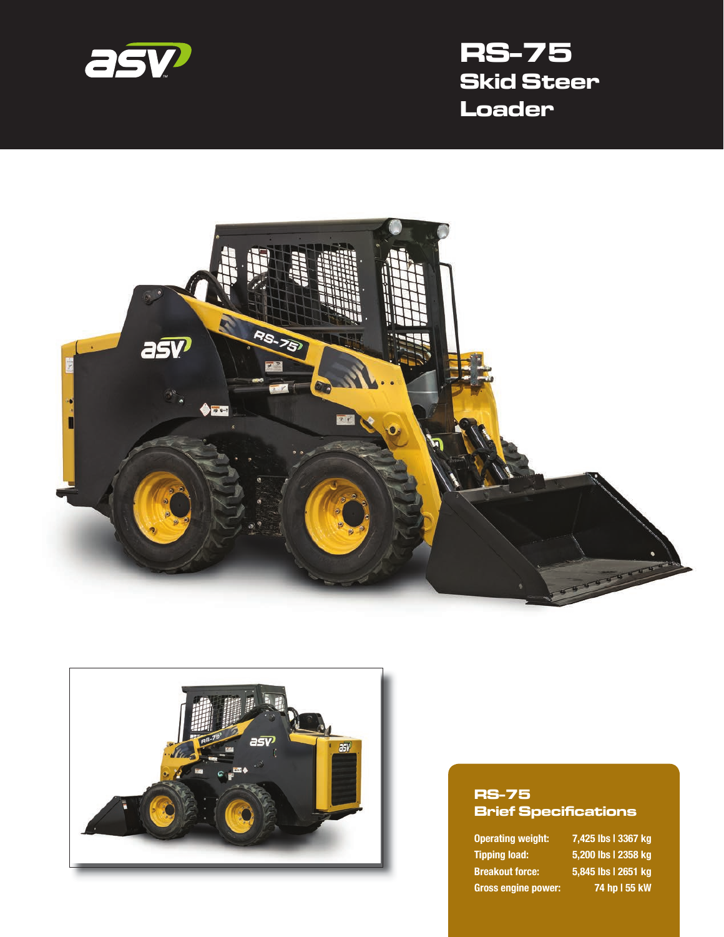

# **RS-75 Skid Steer Loader**





#### **RS-75 Brief Specifications**

**Tipping load: 5,200 lbs | 2358 kg Breakout force: 5,845 lbs | 2651 kg Gross engine power: 74 hp | 55 kW**

**Operating weight: 7,425 lbs | 3367 kg**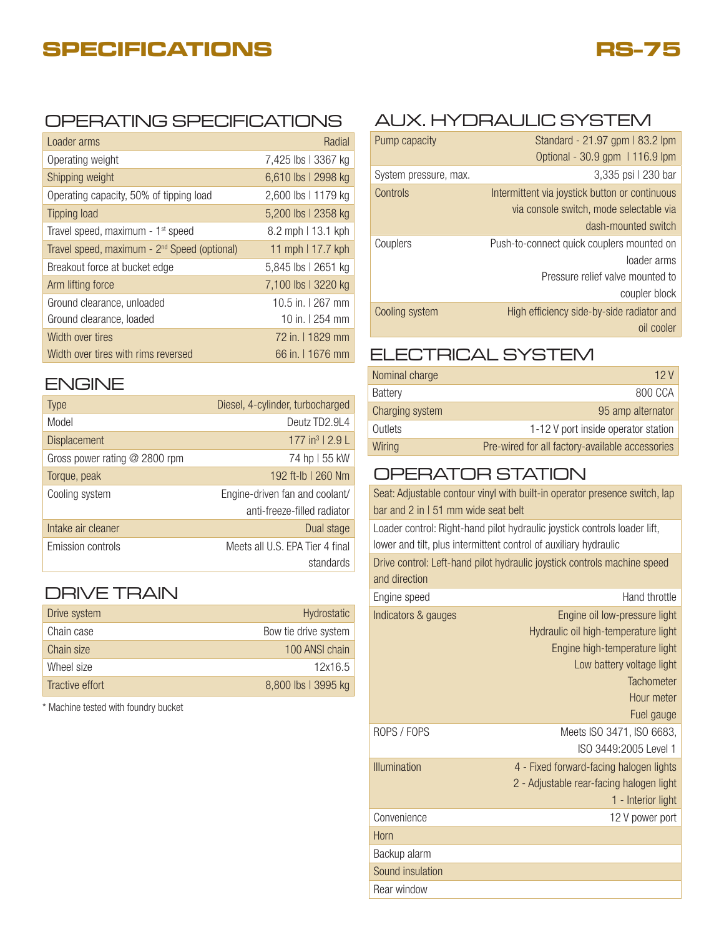## **SPECIFICATIONS**



#### OPERATING SPECIFICATIONS

| Loader arms                                              | Radial              |
|----------------------------------------------------------|---------------------|
| Operating weight                                         | 7,425 lbs   3367 kg |
| Shipping weight                                          | 6,610 lbs   2998 kg |
| Operating capacity, 50% of tipping load                  | 2,600 lbs   1179 kg |
| Tipping load                                             | 5,200 lbs   2358 kg |
| Travel speed, maximum - 1 <sup>st</sup> speed            | 8.2 mph   13.1 kph  |
| Travel speed, maximum - 2 <sup>nd</sup> Speed (optional) | 11 mph   17.7 kph   |
| Breakout force at bucket edge                            | 5,845 lbs   2651 kg |
| Arm lifting force                                        | 7,100 lbs   3220 kg |
| Ground clearance, unloaded                               | 10.5 in. 1267 mm    |
| Ground clearance, loaded                                 | 10 in. 1 254 mm     |
| Width over tires                                         | 72 in. 11829 mm     |
| Width over tires with rims reversed                      | 66 in. I 1676 mm    |

#### ENGINE

| <b>Type</b>                     | Diesel, 4-cylinder, turbocharged                              |
|---------------------------------|---------------------------------------------------------------|
| Model                           | Deutz TD2.9L4                                                 |
| <b>Displacement</b>             | 177 in <sup>3</sup>   2.9 L                                   |
| Gross power rating $@$ 2800 rpm | 74 hp   55 kW                                                 |
| Torque, peak                    | 192 ft-lb   260 Nm                                            |
| Cooling system                  | Engine-driven fan and coolant/<br>anti-freeze-filled radiator |
| Intake air cleaner              | Dual stage                                                    |
| Emission controls               | Meets all U.S. EPA Tier 4 final<br>standards                  |

### DRIVE TRAIN

| Drive system    | Hydrostatic          |
|-----------------|----------------------|
| Chain case      | Bow tie drive system |
| Chain size      | 100 ANSI chain       |
| Wheel size      | 12x16.5              |
| Tractive effort | 8,800 lbs   3995 kg  |

\* Machine tested with foundry bucket

### AUX. HYDRAULIC SYSTEM

| Pump capacity         | Standard - 21.97 gpm   83.2 lpm                |
|-----------------------|------------------------------------------------|
|                       | Optional - 30.9 gpm   116.9 lpm                |
| System pressure, max. | 3,335 psi   230 bar                            |
| Controls              | Intermittent via joystick button or continuous |
|                       | via console switch, mode selectable via        |
|                       | dash-mounted switch                            |
| Couplers              | Push-to-connect quick couplers mounted on      |
|                       | loader arms                                    |
|                       | Pressure relief valve mounted to               |
|                       | coupler block                                  |
| Cooling system        | High efficiency side-by-side radiator and      |
|                       | oil cooler                                     |

#### ELECTRICAL SYSTEM

| Nominal charge  | 12 V                                            |
|-----------------|-------------------------------------------------|
| Battery         | 800 CCA                                         |
| Charging system | 95 amp alternator                               |
| Outlets         | 1-12 V port inside operator station             |
| Wiring          | Pre-wired for all factory-available accessories |

### OPERATOR STATION

Seat: Adjustable contour vinyl with built-in operator presence switch, lap bar and 2 in I 51 mm wide seat belt Loader control: Right-hand pilot hydraulic joystick controls loader lift, lower and tilt, plus intermittent control of auxiliary hydraulic

Drive control: Left-hand pilot hydraulic joystick controls machine speed and direction

| Engine speed        | Hand throttle                            |
|---------------------|------------------------------------------|
| Indicators & gauges | Engine oil low-pressure light            |
|                     | Hydraulic oil high-temperature light     |
|                     | Engine high-temperature light            |
|                     | Low battery voltage light                |
|                     | <b>Tachometer</b>                        |
|                     | Hour meter                               |
|                     | Fuel gauge                               |
| ROPS / FOPS         | Meets ISO 3471, ISO 6683,                |
|                     | ISO 3449:2005 Level 1                    |
| <b>Illumination</b> | 4 - Fixed forward-facing halogen lights  |
|                     | 2 - Adjustable rear-facing halogen light |
|                     | 1 - Interior light                       |
| Convenience         | 12 V power port                          |
| Horn                |                                          |
| Backup alarm        |                                          |
| Sound insulation    |                                          |
| Rear window         |                                          |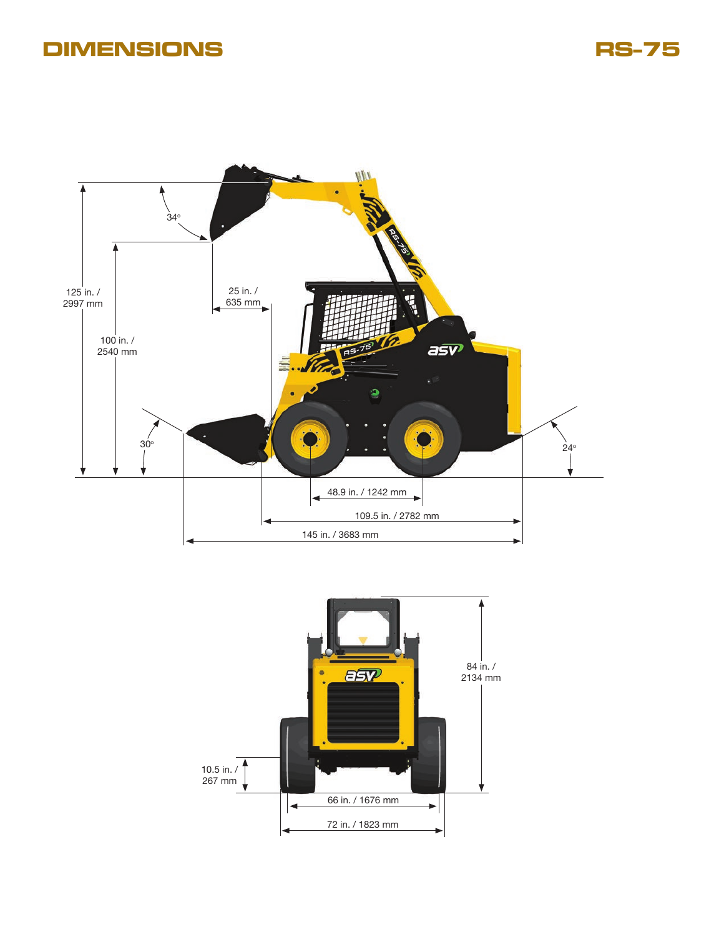## **DIMENSIONS RS-75**